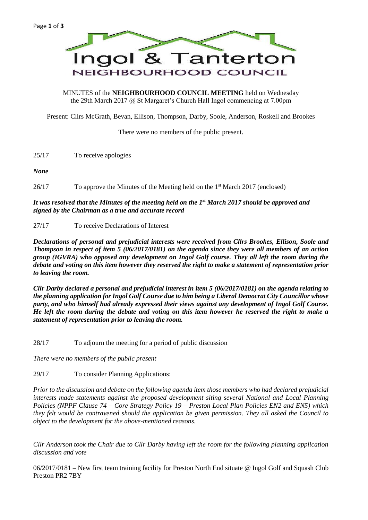

MINUTES of the **NEIGHBOURHOOD COUNCIL MEETING** held on Wednesday the 29th March 2017 @ St Margaret's Church Hall Ingol commencing at 7.00pm

Present: Cllrs McGrath, Bevan, Ellison, Thompson, Darby, Soole, Anderson, Roskell and Brookes

There were no members of the public present.

25/17 To receive apologies

*None*

26/17 To approve the Minutes of the Meeting held on the 1 st March 2017 (enclosed)

## *It was resolved that the Minutes of the meeting held on the 1st March 2017 should be approved and signed by the Chairman as a true and accurate record*

27/17 To receive Declarations of Interest

*Declarations of personal and prejudicial interests were received from Cllrs Brookes, Ellison, Soole and Thompson in respect of item 5 (06/2017/0181) on the agenda since they were all members of an action group (IGVRA) who opposed any development on Ingol Golf course. They all left the room during the debate and voting on this item however they reserved the right to make a statement of representation prior to leaving the room.*

*Cllr Darby declared a personal and prejudicial interest in item 5 (06/2017/0181) on the agenda relating to the planning application for Ingol Golf Course due to him being a Liberal Democrat City Councillor whose party, and who himself had already expressed their views against any development of Ingol Golf Course. He left the room during the debate and voting on this item however he reserved the right to make a statement of representation prior to leaving the room.*

28/17 To adjourn the meeting for a period of public discussion

*There were no members of the public present*

29/17 To consider Planning Applications:

*Prior to the discussion and debate on the following agenda item those members who had declared prejudicial interests made statements against the proposed development siting several National and Local Planning Policies (NPPF Clause 74 – Core Strategy Policy 19 – Preston Local Plan Policies EN2 and EN5) which they felt would be contravened should the application be given permission. They all asked the Council to object to the development for the above-mentioned reasons.*

*Cllr Anderson took the Chair due to Cllr Darby having left the room for the following planning application discussion and vote*

06/2017/0181 – New first team training facility for Preston North End situate @ Ingol Golf and Squash Club Preston PR2 7BY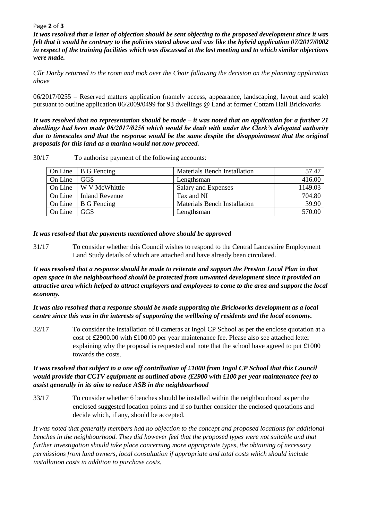### Page **2** of **3**

*It was resolved that a letter of objection should be sent objecting to the proposed development since it was felt that it would be contrary to the policies stated above and was like the hybrid application 07/2017/0002 in respect of the training facilities which was discussed at the last meeting and to which similar objections were made.*

*Cllr Darby returned to the room and took over the Chair following the decision on the planning application above*

06/2017/0255 – Reserved matters application (namely access, appearance, landscaping, layout and scale) pursuant to outline application 06/2009/0499 for 93 dwellings @ Land at former Cottam Hall Brickworks

*It was resolved that no representation should be made – it was noted that an application for a further 21 dwellings had been made 06/2017/0256 which would be dealt with under the Clerk's delegated authority due to timescales and that the response would be the same despite the disappointment that the original proposals for this land as a marina would not now proceed.*

30/17 To authorise payment of the following accounts:

|         | On Line $\vert$ B G Fencing | <b>Materials Bench Installation</b> | 57.47   |
|---------|-----------------------------|-------------------------------------|---------|
| On Line | GGS                         | Lengthsman                          | 416.00  |
|         | On Line W V McWhittle       | Salary and Expenses                 | 1149.03 |
|         | On Line   Inland Revenue    | Tax and NI                          | 704.80  |
| On Line | B G Fencing                 | <b>Materials Bench Installation</b> | 39.90   |
| On Line | GGS                         | Lengthsman                          | 570.00  |

## *It was resolved that the payments mentioned above should be approved*

31/17 To consider whether this Council wishes to respond to the Central Lancashire Employment Land Study details of which are attached and have already been circulated.

*It was resolved that a response should be made to reiterate and support the Preston Local Plan in that open space in the neighbourhood should be protected from unwanted development since it provided an attractive area which helped to attract employers and employees to come to the area and support the local economy.*

*It was also resolved that a response should be made supporting the Brickworks development as a local centre since this was in the interests of supporting the wellbeing of residents and the local economy.* 

32/17 To consider the installation of 8 cameras at Ingol CP School as per the enclose quotation at a cost of £2900.00 with £100.00 per year maintenance fee. Please also see attached letter explaining why the proposal is requested and note that the school have agreed to put £1000 towards the costs.

# *It was resolved that subject to a one off contribution of £1000 from Ingol CP School that this Council would provide that CCTV equipment as outlined above (£2900 with £100 per year maintenance fee) to assist generally in its aim to reduce ASB in the neighbourhood*

33/17 To consider whether 6 benches should be installed within the neighbourhood as per the enclosed suggested location points and if so further consider the enclosed quotations and decide which, if any, should be accepted.

*It was noted that generally members had no objection to the concept and proposed locations for additional benches in the neighbourhood. They did however feel that the proposed types were not suitable and that further investigation should take place concerning more appropriate types, the obtaining of necessary permissions from land owners, local consultation if appropriate and total costs which should include installation costs in addition to purchase costs.*